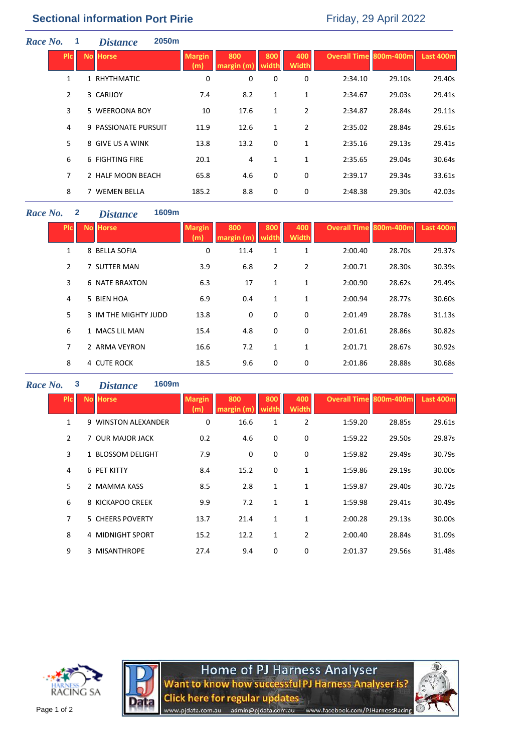| Race No. |                | 1 | <b>2050m</b><br><b>Distance</b> |                      |                  |              |                     |                        |        |           |
|----------|----------------|---|---------------------------------|----------------------|------------------|--------------|---------------------|------------------------|--------|-----------|
|          | <b>PIC</b>     |   | <b>No Horse</b>                 | <b>Margin</b><br>(m) | 800<br>argin (m) | 800<br>width | 400<br><b>Width</b> | Overall Time 800m-400m |        | Last 400m |
|          | 1              |   | 1 RHYTHMATIC                    | 0                    | 0                | 0            | 0                   | 2:34.10                | 29.10s | 29.40s    |
|          | $\overline{2}$ |   | 3 CARIJOY                       | 7.4                  | 8.2              | 1            | 1                   | 2:34.67                | 29.03s | 29.41s    |
|          | 3              |   | 5 WEEROONA BOY                  | 10                   | 17.6             | 1            | $\overline{2}$      | 2:34.87                | 28.84s | 29.11s    |
|          | 4              |   | 9 PASSIONATE PURSUIT            | 11.9                 | 12.6             | 1            | $\overline{2}$      | 2:35.02                | 28.84s | 29.61s    |
|          | 5              |   | 8 GIVE US A WINK                | 13.8                 | 13.2             | 0            | 1                   | 2:35.16                | 29.13s | 29.41s    |
|          | 6              |   | 6 FIGHTING FIRE                 | 20.1                 | 4                | 1            | 1                   | 2:35.65                | 29.04s | 30.64s    |
|          | $\overline{7}$ |   | 2 HALF MOON BEACH               | 65.8                 | 4.6              | 0            | 0                   | 2:39.17                | 29.34s | 33.61s    |
|          | 8              |   | 7 WEMEN BELLA                   | 185.2                | 8.8              | 0            | 0                   | 2:48.38                | 29.30s | 42.03s    |
|          |                |   |                                 |                      |                  |              |                     |                        |        |           |

## *Race No.* **2** *Distance* **1609m**

| <b>PIC</b>     | <b>No Horse</b>       | <b>Margin</b><br>(m) | 800<br>margin (m' | 800<br>width | 400<br><b>Width</b> | <b>Overall Time 800m-400m</b> |        | Last 400m |
|----------------|-----------------------|----------------------|-------------------|--------------|---------------------|-------------------------------|--------|-----------|
| 1              | 8 BELLA SOFIA         | 0                    | 11.4              | 1            | 1                   | 2:00.40                       | 28.70s | 29.37s    |
| 2              | 7 SUTTER MAN          | 3.9                  | 6.8               | 2            | 2                   | 2:00.71                       | 28.30s | 30.39s    |
| 3              | <b>6 NATE BRAXTON</b> | 6.3                  | 17                | 1            | 1                   | 2:00.90                       | 28.62s | 29.49s    |
| 4              | 5 BIEN HOA            | 6.9                  | 0.4               | 1            | 1                   | 2:00.94                       | 28.77s | 30.60s    |
| 5              | 3 IM THE MIGHTY JUDD  | 13.8                 | 0                 | 0            | 0                   | 2:01.49                       | 28.78s | 31.13s    |
| 6              | 1 MACS LIL MAN        | 15.4                 | 4.8               | 0            | 0                   | 2:01.61                       | 28.86s | 30.82s    |
| $\overline{7}$ | 2 ARMA VEYRON         | 16.6                 | 7.2               | 1            | 1                   | 2:01.71                       | 28.67s | 30.92s    |
| 8              | 4 CUTE ROCK           | 18.5                 | 9.6               | 0            | 0                   | 2:01.86                       | 28.88s | 30.68s    |
|                |                       |                      |                   |              |                     |                               |        |           |

## *Race No.* **3** *Distance* **1609m**

| <b>PIC</b>     | <b>No Horse</b>     | <b>Margin</b><br>ml | 800<br>margin (m | 800<br>width | 400<br><b>Width</b> | <b>Overall Time 800m-400m</b> |        | Last 400m |
|----------------|---------------------|---------------------|------------------|--------------|---------------------|-------------------------------|--------|-----------|
| $\mathbf{1}$   | 9 WINSTON ALEXANDER | 0                   | 16.6             | 1            | $\overline{2}$      | 1:59.20                       | 28.85s | 29.61s    |
| $\overline{2}$ | 7 OUR MAJOR JACK    | 0.2                 | 4.6              | 0            | 0                   | 1:59.22                       | 29.50s | 29.87s    |
| 3              | 1 BLOSSOM DELIGHT   | 7.9                 | 0                | 0            | 0                   | 1:59.82                       | 29.49s | 30.79s    |
| 4              | 6 PET KITTY         | 8.4                 | 15.2             | 0            | $\mathbf{1}$        | 1:59.86                       | 29.19s | 30.00s    |
| 5              | 2 MAMMA KASS        | 8.5                 | 2.8              | $\mathbf{1}$ | 1                   | 1:59.87                       | 29.40s | 30.72s    |
| 6              | 8 KICKAPOO CREEK    | 9.9                 | 7.2              | 1            | $\mathbf{1}$        | 1:59.98                       | 29.41s | 30.49s    |
| 7              | 5 CHEERS POVERTY    | 13.7                | 21.4             | $\mathbf{1}$ | 1                   | 2:00.28                       | 29.13s | 30.00s    |
| 8              | 4 MIDNIGHT SPORT    | 15.2                | 12.2             | 1            | $\overline{2}$      | 2:00.40                       | 28.84s | 31.09s    |
| 9              | 3 MISANTHROPE       | 27.4                | 9.4              | 0            | 0                   | 2:01.37                       | 29.56s | 31.48s    |
|                |                     |                     |                  |              |                     |                               |        |           |





Home of PJ Harness Analyser<br>Want to know how successful PJ Harness Analyser is? **Click here for regular updates** admin@pjdata.com.au www.facebook.com/PJHarnessRacing www.pjdata.com.au